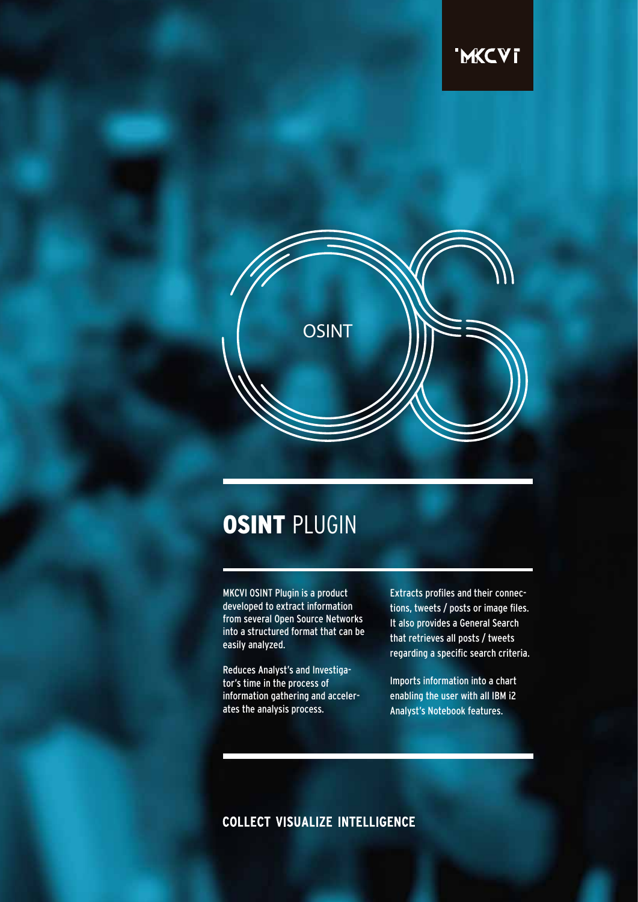

# **OSINT PLUGIN**

MKCVI OSINT Plugin is a product developed to extract information from several Open Source Networks into a structured format that can be easily analyzed.

Reduces Analyst's and Investigator's time in the process of information gathering and accelerates the analysis process.

Extracts profiles and their connections, tweets / posts or image files. It also provides a General Search that retrieves all posts / tweets regarding a specific search criteria.

Imports information into a chart enabling the user with all IBM i2 Analyst's Notebook features.

# **COLLECT VISUALIZE INTELLIGENCE**